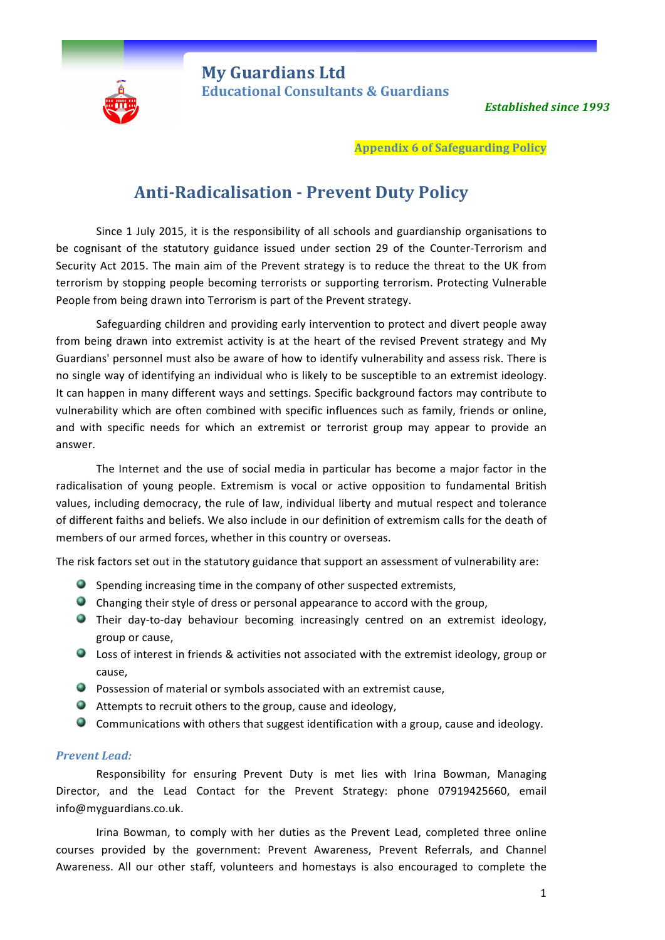

**My Guardians Ltd** **Educational Consultants & Guardians** 

**Established since 1993** 

**Appendix 6 of Safeguarding Policy** 

## **Anti-Radicalisation - Prevent Duty Policy**

Since 1 July 2015, it is the responsibility of all schools and guardianship organisations to be cognisant of the statutory guidance issued under section 29 of the Counter-Terrorism and Security Act 2015. The main aim of the Prevent strategy is to reduce the threat to the UK from terrorism by stopping people becoming terrorists or supporting terrorism. Protecting Vulnerable People from being drawn into Terrorism is part of the Prevent strategy.

Safeguarding children and providing early intervention to protect and divert people away from being drawn into extremist activity is at the heart of the revised Prevent strategy and My Guardians' personnel must also be aware of how to identify vulnerability and assess risk. There is no single way of identifying an individual who is likely to be susceptible to an extremist ideology. It can happen in many different ways and settings. Specific background factors may contribute to vulnerability which are often combined with specific influences such as family, friends or online, and with specific needs for which an extremist or terrorist group may appear to provide an answer. 

The Internet and the use of social media in particular has become a major factor in the radicalisation of young people. Extremism is vocal or active opposition to fundamental British values, including democracy, the rule of law, individual liberty and mutual respect and tolerance of different faiths and beliefs. We also include in our definition of extremism calls for the death of members of our armed forces, whether in this country or overseas.

The risk factors set out in the statutory guidance that support an assessment of vulnerability are:

- $\bullet$  Spending increasing time in the company of other suspected extremists,
- $\bullet$  Changing their style of dress or personal appearance to accord with the group,
- **Their day-to-day behaviour becoming increasingly centred on an extremist ideology,** group or cause,
- Loss of interest in friends & activities not associated with the extremist ideology, group or cause,
- $\bullet$  Possession of material or symbols associated with an extremist cause,
- $\bullet$  Attempts to recruit others to the group, cause and ideology,
- Communications with others that suggest identification with a group, cause and ideology.

## **Prevent Lead:**

Responsibility for ensuring Prevent Duty is met lies with Irina Bowman, Managing Director, and the Lead Contact for the Prevent Strategy: phone 07919425660, email info@myguardians.co.uk. 

Irina Bowman, to comply with her duties as the Prevent Lead, completed three online courses provided by the government: Prevent Awareness, Prevent Referrals, and Channel Awareness. All our other staff, volunteers and homestays is also encouraged to complete the